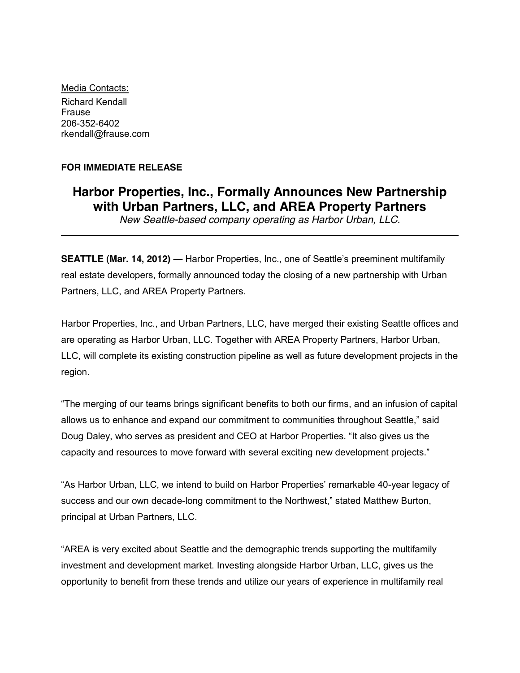Media Contacts: Richard Kendall Frause 206-352-6402 rkendall@frause.com

# **FOR IMMEDIATE RELEASE**

# **Harbor Properties, Inc., Formally Announces New Partnership with Urban Partners, LLC, and AREA Property Partners**

*New Seattle-based company operating as Harbor Urban, LLC.*

**SEATTLE (Mar. 14, 2012) — Harbor Properties, Inc., one of Seattle's preeminent multifamily** real estate developers, formally announced today the closing of a new partnership with Urban Partners, LLC, and AREA Property Partners.

Harbor Properties, Inc., and Urban Partners, LLC, have merged their existing Seattle offices and are operating as Harbor Urban, LLC. Together with AREA Property Partners, Harbor Urban, LLC, will complete its existing construction pipeline as well as future development projects in the region.

"The merging of our teams brings significant benefits to both our firms, and an infusion of capital allows us to enhance and expand our commitment to communities throughout Seattle," said Doug Daley, who serves as president and CEO at Harbor Properties. "It also gives us the capacity and resources to move forward with several exciting new development projects."

"As Harbor Urban, LLC, we intend to build on Harbor Properties' remarkable 40-year legacy of success and our own decade-long commitment to the Northwest," stated Matthew Burton, principal at Urban Partners, LLC.

"AREA is very excited about Seattle and the demographic trends supporting the multifamily investment and development market. Investing alongside Harbor Urban, LLC, gives us the opportunity to benefit from these trends and utilize our years of experience in multifamily real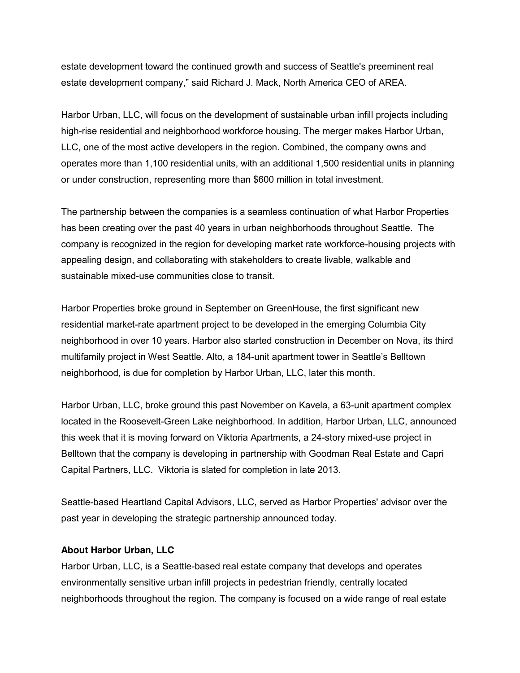estate development toward the continued growth and success of Seattle's preeminent real estate development company," said Richard J. Mack, North America CEO of AREA.

Harbor Urban, LLC, will focus on the development of sustainable urban infill projects including high-rise residential and neighborhood workforce housing. The merger makes Harbor Urban, LLC, one of the most active developers in the region. Combined, the company owns and operates more than 1,100 residential units, with an additional 1,500 residential units in planning or under construction, representing more than \$600 million in total investment.

The partnership between the companies is a seamless continuation of what Harbor Properties has been creating over the past 40 years in urban neighborhoods throughout Seattle. The company is recognized in the region for developing market rate workforce-housing projects with appealing design, and collaborating with stakeholders to create livable, walkable and sustainable mixed-use communities close to transit.

Harbor Properties broke ground in September on GreenHouse, the first significant new residential market-rate apartment project to be developed in the emerging Columbia City neighborhood in over 10 years. Harbor also started construction in December on Nova, its third multifamily project in West Seattle. Alto, a 184-unit apartment tower in Seattle's Belltown neighborhood, is due for completion by Harbor Urban, LLC, later this month.

Harbor Urban, LLC, broke ground this past November on Kavela, a 63-unit apartment complex located in the Roosevelt-Green Lake neighborhood. In addition, Harbor Urban, LLC, announced this week that it is moving forward on Viktoria Apartments, a 24-story mixed-use project in Belltown that the company is developing in partnership with Goodman Real Estate and Capri Capital Partners, LLC. Viktoria is slated for completion in late 2013.

Seattle-based Heartland Capital Advisors, LLC, served as Harbor Properties' advisor over the past year in developing the strategic partnership announced today.

# **About Harbor Urban, LLC**

Harbor Urban, LLC, is a Seattle-based real estate company that develops and operates environmentally sensitive urban infill projects in pedestrian friendly, centrally located neighborhoods throughout the region. The company is focused on a wide range of real estate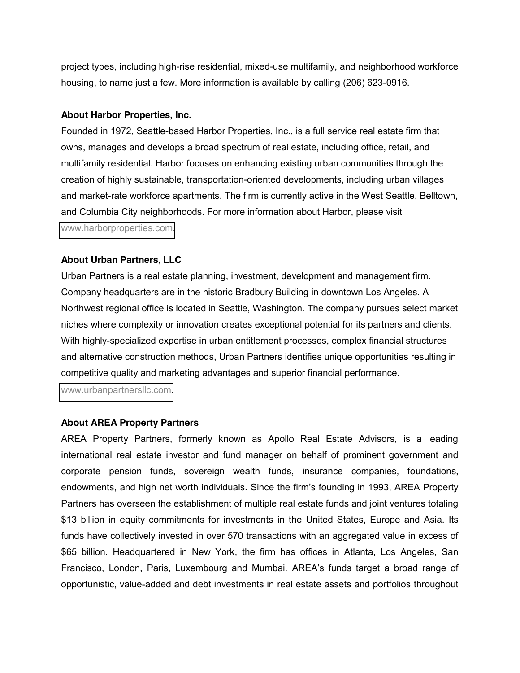project types, including high-rise residential, mixed-use multifamily, and neighborhood workforce housing, to name just a few. More information is available by calling (206) 623-0916.

#### **About Harbor Properties, Inc.**

Founded in 1972, Seattle-based Harbor Properties, Inc., is a full service real estate firm that owns, manages and develops a broad spectrum of real estate, including office, retail, and multifamily residential. Harbor focuses on enhancing existing urban communities through the creation of highly sustainable, transportation-oriented developments, including urban villages and market-rate workforce apartments. The firm is currently active in the West Seattle, Belltown, and Columbia City neighborhoods. For more information about Harbor, please visit [www.harborproperties.com.](https://remote.frause.com/OWA/redir.aspx?C=83a67ad9a9704c17aa3e9970035faa52&URL=http%3a%2f%2fwww.harborproperties.com%2f)

# **About Urban Partners, LLC**

Urban Partners is a real estate planning, investment, development and management firm. Company headquarters are in the historic Bradbury Building in downtown Los Angeles. A Northwest regional office is located in Seattle, Washington. The company pursues select market niches where complexity or innovation creates exceptional potential for its partners and clients. With highly-specialized expertise in urban entitlement processes, complex financial structures and alternative construction methods, Urban Partners identifies unique opportunities resulting in competitive quality and marketing advantages and superior financial performance.

[www.urbanpartnersllc.com.](http://www.urbanpartnersllc.com/)

# **About AREA Property Partners**

AREA Property Partners, formerly known as Apollo Real Estate Advisors, is a leading international real estate investor and fund manager on behalf of prominent government and corporate pension funds, sovereign wealth funds, insurance companies, foundations, endowments, and high net worth individuals. Since the firm's founding in 1993, AREA Property Partners has overseen the establishment of multiple real estate funds and joint ventures totaling \$13 billion in equity commitments for investments in the United States, Europe and Asia. Its funds have collectively invested in over 570 transactions with an aggregated value in excess of \$65 billion. Headquartered in New York, the firm has offices in Atlanta, Los Angeles, San Francisco, London, Paris, Luxembourg and Mumbai. AREA's funds target a broad range of opportunistic, value-added and debt investments in real estate assets and portfolios throughout